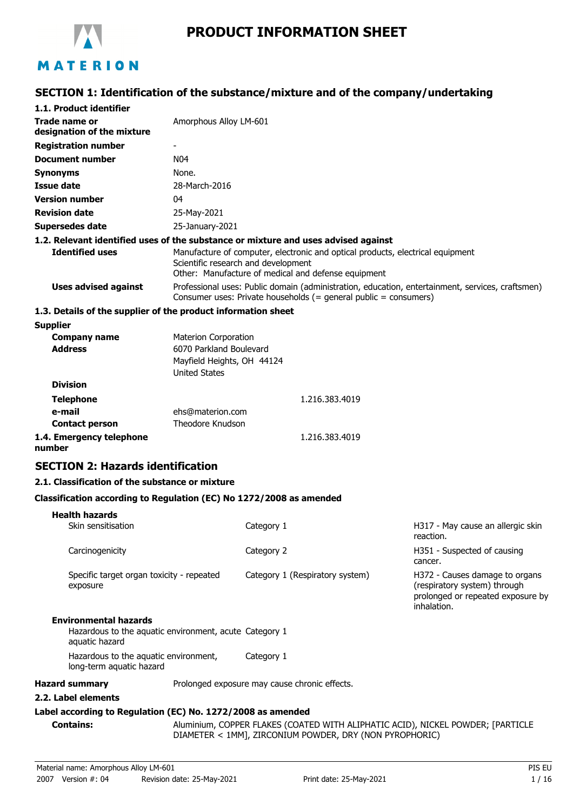

# **PRODUCT INFORMATION SHEET**

## **SECTION 1: Identification of the substance/mixture and of the company/undertaking**

| 1.1. Product identifier                                                                                      |                                                                                                              |            |                                                                  |                                                                                                                    |
|--------------------------------------------------------------------------------------------------------------|--------------------------------------------------------------------------------------------------------------|------------|------------------------------------------------------------------|--------------------------------------------------------------------------------------------------------------------|
| Trade name or<br>designation of the mixture                                                                  | Amorphous Alloy LM-601                                                                                       |            |                                                                  |                                                                                                                    |
| <b>Registration number</b>                                                                                   |                                                                                                              |            |                                                                  |                                                                                                                    |
| Document number                                                                                              | N <sub>04</sub>                                                                                              |            |                                                                  |                                                                                                                    |
| <b>Synonyms</b>                                                                                              | None.                                                                                                        |            |                                                                  |                                                                                                                    |
| <b>Issue date</b>                                                                                            | 28-March-2016                                                                                                |            |                                                                  |                                                                                                                    |
| <b>Version number</b>                                                                                        | 04                                                                                                           |            |                                                                  |                                                                                                                    |
| <b>Revision date</b>                                                                                         | 25-May-2021                                                                                                  |            |                                                                  |                                                                                                                    |
| <b>Supersedes date</b>                                                                                       | 25-January-2021                                                                                              |            |                                                                  |                                                                                                                    |
| 1.2. Relevant identified uses of the substance or mixture and uses advised against<br><b>Identified uses</b> | Scientific research and development                                                                          |            | Other: Manufacture of medical and defense equipment              | Manufacture of computer, electronic and optical products, electrical equipment                                     |
| <b>Uses advised against</b>                                                                                  |                                                                                                              |            | Consumer uses: Private households (= general public = consumers) | Professional uses: Public domain (administration, education, entertainment, services, craftsmen)                   |
| 1.3. Details of the supplier of the product information sheet                                                |                                                                                                              |            |                                                                  |                                                                                                                    |
| <b>Supplier</b>                                                                                              |                                                                                                              |            |                                                                  |                                                                                                                    |
| <b>Company name</b><br><b>Address</b>                                                                        | <b>Materion Corporation</b><br>6070 Parkland Boulevard<br>Mayfield Heights, OH 44124<br><b>United States</b> |            |                                                                  |                                                                                                                    |
| <b>Division</b>                                                                                              |                                                                                                              |            |                                                                  |                                                                                                                    |
| <b>Telephone</b>                                                                                             |                                                                                                              |            | 1.216.383.4019                                                   |                                                                                                                    |
| e-mail                                                                                                       | ehs@materion.com                                                                                             |            |                                                                  |                                                                                                                    |
| <b>Contact person</b>                                                                                        | Theodore Knudson                                                                                             |            |                                                                  |                                                                                                                    |
| 1.4. Emergency telephone<br>number                                                                           |                                                                                                              |            | 1.216.383.4019                                                   |                                                                                                                    |
| <b>SECTION 2: Hazards identification</b>                                                                     |                                                                                                              |            |                                                                  |                                                                                                                    |
| 2.1. Classification of the substance or mixture                                                              |                                                                                                              |            |                                                                  |                                                                                                                    |
| Classification according to Regulation (EC) No 1272/2008 as amended                                          |                                                                                                              |            |                                                                  |                                                                                                                    |
| <b>Health hazards</b><br>Skin sensitisation                                                                  |                                                                                                              | Category 1 |                                                                  | H317 - May cause an allergic skin<br>reaction.                                                                     |
| Carcinogenicity                                                                                              |                                                                                                              | Category 2 |                                                                  | H351 - Suspected of causing<br>cancer.                                                                             |
| Specific target organ toxicity - repeated<br>exposure                                                        |                                                                                                              |            | Category 1 (Respiratory system)                                  | H372 - Causes damage to organs<br>(respiratory system) through<br>prolonged or repeated exposure by<br>inhalation. |
| <b>Environmental hazards</b><br>Hazardous to the aquatic environment, acute Category 1<br>aquatic hazard     |                                                                                                              |            |                                                                  |                                                                                                                    |
| Hazardous to the aquatic environment,<br>long-term aquatic hazard                                            |                                                                                                              | Category 1 |                                                                  |                                                                                                                    |
| <b>Hazard summary</b>                                                                                        | Prolonged exposure may cause chronic effects.                                                                |            |                                                                  |                                                                                                                    |
| 2.2. Label elements                                                                                          |                                                                                                              |            |                                                                  |                                                                                                                    |
| Label according to Regulation (EC) No. 1272/2008 as amended                                                  |                                                                                                              |            |                                                                  |                                                                                                                    |
| <b>Contains:</b>                                                                                             |                                                                                                              |            | DIAMETER < 1MM], ZIRCONIUM POWDER, DRY (NON PYROPHORIC)          | Aluminium, COPPER FLAKES (COATED WITH ALIPHATIC ACID), NICKEL POWDER; [PARTICLE                                    |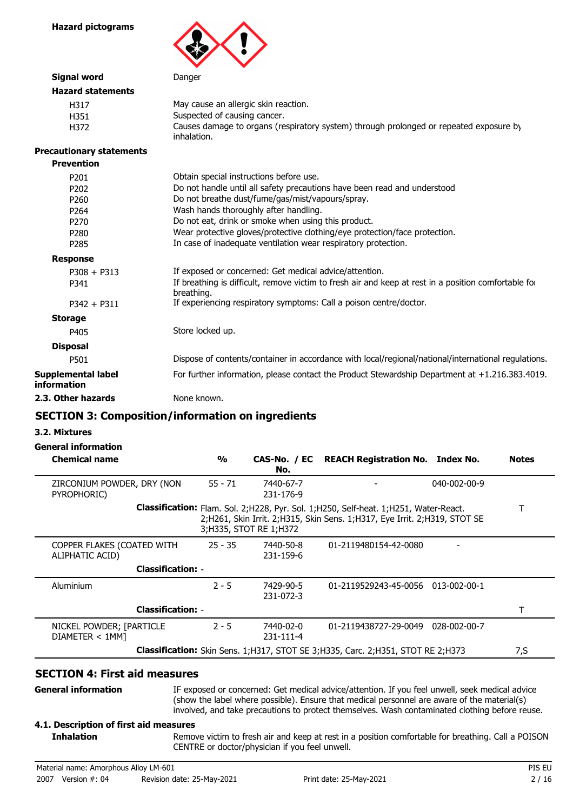**Hazard pictograms**



| <b>Signal word</b>                       | Danger                                                                                                             |
|------------------------------------------|--------------------------------------------------------------------------------------------------------------------|
| <b>Hazard statements</b>                 |                                                                                                                    |
| H317                                     | May cause an allergic skin reaction.                                                                               |
| H351                                     | Suspected of causing cancer.                                                                                       |
| H372                                     | Causes damage to organs (respiratory system) through prolonged or repeated exposure by<br>inhalation.              |
| <b>Precautionary statements</b>          |                                                                                                                    |
| <b>Prevention</b>                        |                                                                                                                    |
| P <sub>201</sub>                         | Obtain special instructions before use.                                                                            |
| P <sub>202</sub>                         | Do not handle until all safety precautions have been read and understood.                                          |
| P <sub>260</sub>                         | Do not breathe dust/fume/gas/mist/vapours/spray.                                                                   |
| P <sub>264</sub>                         | Wash hands thoroughly after handling.                                                                              |
| P <sub>270</sub>                         | Do not eat, drink or smoke when using this product.                                                                |
| P280                                     | Wear protective gloves/protective clothing/eye protection/face protection.                                         |
| P285                                     | In case of inadequate ventilation wear respiratory protection.                                                     |
| <b>Response</b>                          |                                                                                                                    |
| $P308 + P313$                            | If exposed or concerned: Get medical advice/attention.                                                             |
| P341                                     | If breathing is difficult, remove victim to fresh air and keep at rest in a position comfortable for<br>breathing. |
| $P342 + P311$                            | If experiencing respiratory symptoms: Call a poison centre/doctor.                                                 |
| <b>Storage</b>                           |                                                                                                                    |
| P405                                     | Store locked up.                                                                                                   |
| <b>Disposal</b>                          |                                                                                                                    |
| P501                                     | Dispose of contents/container in accordance with local/regional/national/international regulations.                |
| <b>Supplemental label</b><br>information | For further information, please contact the Product Stewardship Department at +1.216.383.4019.                     |
| 2.3. Other hazards                       | None known.                                                                                                        |

## **SECTION 3: Composition/information on ingredients**

#### **3.2. Mixtures**

#### **General information**

| <b>Chemical name</b>                          | $\frac{0}{0}$ | No.                      | CAS-No. / EC REACH Registration No. Index No.                                                                                                                        | <b>Notes</b> |
|-----------------------------------------------|---------------|--------------------------|----------------------------------------------------------------------------------------------------------------------------------------------------------------------|--------------|
| ZIRCONIUM POWDER, DRY (NON<br>PYROPHORIC)     | $55 - 71$     | 7440-67-7<br>231-176-9   | 040-002-00-9                                                                                                                                                         |              |
|                                               |               | 3; H335, STOT RE 1; H372 | Classification: Flam. Sol. 2; H228, Pyr. Sol. 1; H250, Self-heat. 1; H251, Water-React.<br>2;H261, Skin Irrit. 2;H315, Skin Sens. 1;H317, Eye Irrit. 2;H319, STOT SE |              |
| COPPER FLAKES (COATED WITH<br>ALIPHATIC ACID) | $25 - 35$     | 7440-50-8<br>231-159-6   | 01-2119480154-42-0080                                                                                                                                                |              |
| <b>Classification: -</b>                      |               |                          |                                                                                                                                                                      |              |
| Aluminium                                     | $2 - 5$       | 7429-90-5<br>231-072-3   | 01-2119529243-45-0056 013-002-00-1                                                                                                                                   |              |
| <b>Classification: -</b>                      |               |                          |                                                                                                                                                                      |              |
| NICKEL POWDER; [PARTICLE<br>DIAMETER < 1MM]   | $2 - 5$       | 7440-02-0<br>231-111-4   | 01-2119438727-29-0049<br>028-002-00-7                                                                                                                                |              |
|                                               |               |                          | Classification: Skin Sens. 1; H317, STOT SE 3; H335, Carc. 2; H351, STOT RE 2; H373                                                                                  | 7,S          |

## **SECTION 4: First aid measures**

**General information**

**Inhalation**

IF exposed or concerned: Get medical advice/attention. If you feel unwell, seek medical advice (show the label where possible). Ensure that medical personnel are aware of the material(s) involved, and take precautions to protect themselves. Wash contaminated clothing before reuse.

### **4.1. Description of first aid measures**

Remove victim to fresh air and keep at rest in a position comfortable for breathing. Call a POISON CENTRE or doctor/physician if you feel unwell.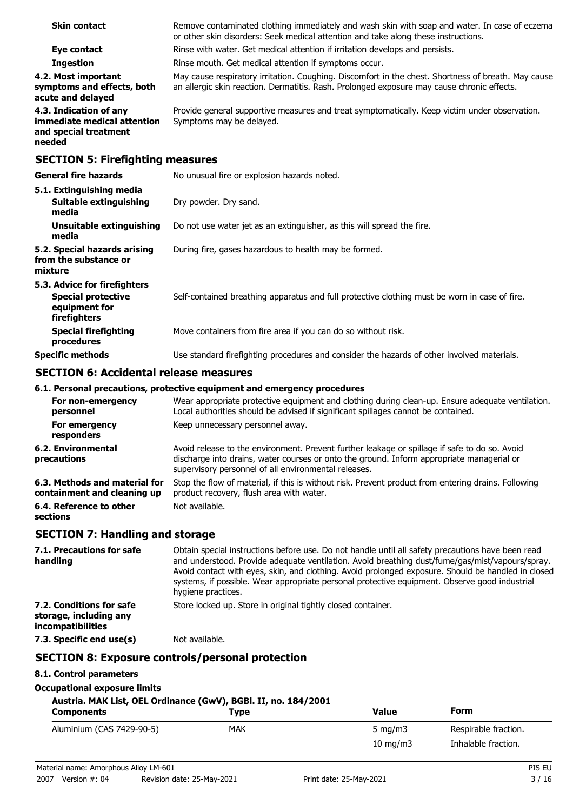| <b>Skin contact</b>                                                                      | Remove contaminated clothing immediately and wash skin with soap and water. In case of eczema<br>or other skin disorders: Seek medical attention and take along these instructions.               |
|------------------------------------------------------------------------------------------|---------------------------------------------------------------------------------------------------------------------------------------------------------------------------------------------------|
| Eye contact                                                                              | Rinse with water. Get medical attention if irritation develops and persists.                                                                                                                      |
| <b>Ingestion</b>                                                                         | Rinse mouth. Get medical attention if symptoms occur.                                                                                                                                             |
| 4.2. Most important<br>symptoms and effects, both<br>acute and delayed                   | May cause respiratory irritation. Coughing. Discomfort in the chest. Shortness of breath. May cause<br>an allergic skin reaction. Dermatitis. Rash. Prolonged exposure may cause chronic effects. |
| 4.3. Indication of any<br>immediate medical attention<br>and special treatment<br>needed | Provide general supportive measures and treat symptomatically. Keep victim under observation.<br>Symptoms may be delayed.                                                                         |
| <b>SECTION 5: Firefighting measures</b>                                                  |                                                                                                                                                                                                   |
| <b>General fire hazards</b>                                                              | No unusual fire or explosion hazards noted.                                                                                                                                                       |
| 5.1. Extinguishing media                                                                 |                                                                                                                                                                                                   |
| Suitable extinguishing<br>media                                                          | Dry powder. Dry sand.                                                                                                                                                                             |
| Unsuitable extinguishing<br>media                                                        | Do not use water jet as an extinguisher, as this will spread the fire.                                                                                                                            |
| 5.2. Special hazards arising<br>from the substance or<br>mixture                         | During fire, gases hazardous to health may be formed.                                                                                                                                             |
| 5.3. Advice for firefighters                                                             |                                                                                                                                                                                                   |
| <b>Special protective</b><br>equipment for<br>firefighters                               | Self-contained breathing apparatus and full protective clothing must be worn in case of fire.                                                                                                     |
| <b>Special firefighting</b>                                                              | Move containers from fire area if you can do so without risk.                                                                                                                                     |

### **SECTION 6: Accidental release measures**

**procedures**

### **6.1. Personal precautions, protective equipment and emergency procedures**

| For non-emergency<br>personnel                               | Wear appropriate protective equipment and clothing during clean-up. Ensure adequate ventilation.<br>Local authorities should be advised if significant spillages cannot be contained.                                                              |
|--------------------------------------------------------------|----------------------------------------------------------------------------------------------------------------------------------------------------------------------------------------------------------------------------------------------------|
| For emergency<br>responders                                  | Keep unnecessary personnel away.                                                                                                                                                                                                                   |
| 6.2. Environmental<br>precautions                            | Avoid release to the environment. Prevent further leakage or spillage if safe to do so. Avoid<br>discharge into drains, water courses or onto the ground. Inform appropriate managerial or<br>supervisory personnel of all environmental releases. |
| 6.3. Methods and material for<br>containment and cleaning up | Stop the flow of material, if this is without risk. Prevent product from entering drains. Following<br>product recovery, flush area with water.                                                                                                    |
| 6.4. Reference to other<br>sections                          | Not available.                                                                                                                                                                                                                                     |

**Specific methods** Use standard firefighting procedures and consider the hazards of other involved materials.

### **SECTION 7: Handling and storage**

| 7.1. Precautions for safe<br>handling                                          | Obtain special instructions before use. Do not handle until all safety precautions have been read<br>and understood. Provide adequate ventilation. Avoid breathing dust/fume/gas/mist/vapours/spray.<br>Avoid contact with eyes, skin, and clothing. Avoid prolonged exposure. Should be handled in closed<br>systems, if possible. Wear appropriate personal protective equipment. Observe good industrial<br>hygiene practices. |
|--------------------------------------------------------------------------------|-----------------------------------------------------------------------------------------------------------------------------------------------------------------------------------------------------------------------------------------------------------------------------------------------------------------------------------------------------------------------------------------------------------------------------------|
| 7.2. Conditions for safe<br>storage, including any<br><i>incompatibilities</i> | Store locked up. Store in original tightly closed container.                                                                                                                                                                                                                                                                                                                                                                      |
| 7.3. Specific end use(s)                                                       | Not available.                                                                                                                                                                                                                                                                                                                                                                                                                    |

### **SECTION 8: Exposure controls/personal protection**

### **8.1. Control parameters**

**Occupational exposure limits**

### **Austria. MAK List, OEL Ordinance (GwV), BGBl. II, no. 184/2001**

| <b>Components</b>         | Type       | <b>Value</b>      | Form                 |
|---------------------------|------------|-------------------|----------------------|
| Aluminium (CAS 7429-90-5) | <b>MAK</b> | 5 mg/m $3$        | Respirable fraction. |
|                           |            | $10 \text{ mg/m}$ | Inhalable fraction.  |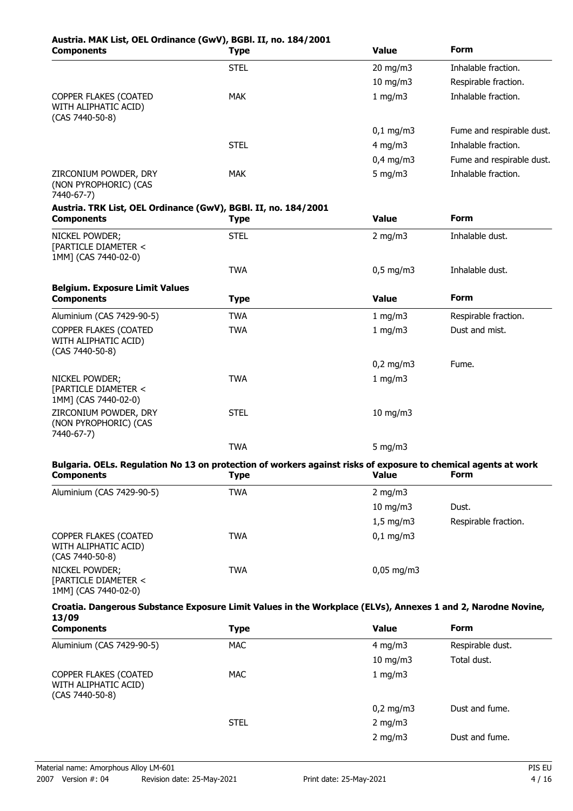# **Austria. MAK List, OEL Ordinance (GwV), BGBl. II, no. 184/2001**

| <b>Components</b>                                                                                                                   | <b>Type</b> | <b>Value</b>              | <b>Form</b>               |
|-------------------------------------------------------------------------------------------------------------------------------------|-------------|---------------------------|---------------------------|
|                                                                                                                                     | <b>STEL</b> | 20 mg/m3                  | Inhalable fraction.       |
|                                                                                                                                     |             | $10$ mg/m $3$             | Respirable fraction.      |
| COPPER FLAKES (COATED<br>WITH ALIPHATIC ACID)<br>(CAS 7440-50-8)                                                                    | <b>MAK</b>  | 1 mg/m3                   | Inhalable fraction.       |
|                                                                                                                                     |             | $0,1$ mg/m3               | Fume and respirable dust. |
|                                                                                                                                     | <b>STEL</b> | $4$ mg/m $3$              | Inhalable fraction.       |
|                                                                                                                                     |             | $0,4$ mg/m $3$            | Fume and respirable dust. |
| ZIRCONIUM POWDER, DRY<br>(NON PYROPHORIC) (CAS<br>7440-67-7)                                                                        | <b>MAK</b>  | $5$ mg/m $3$              | Inhalable fraction.       |
| Austria. TRK List, OEL Ordinance (GwV), BGBI. II, no. 184/2001<br><b>Components</b>                                                 | Type        | <b>Value</b>              | <b>Form</b>               |
| NICKEL POWDER;<br>[PARTICLE DIAMETER <<br>1MM] (CAS 7440-02-0)                                                                      | <b>STEL</b> | $2$ mg/m $3$              | Inhalable dust.           |
|                                                                                                                                     | <b>TWA</b>  | $0,5$ mg/m3               | Inhalable dust.           |
| <b>Belgium. Exposure Limit Values</b><br><b>Components</b>                                                                          | <b>Type</b> | <b>Value</b>              | <b>Form</b>               |
| Aluminium (CAS 7429-90-5)                                                                                                           | <b>TWA</b>  | 1 mg/m3                   | Respirable fraction.      |
| COPPER FLAKES (COATED<br>WITH ALIPHATIC ACID)<br>(CAS 7440-50-8)                                                                    | <b>TWA</b>  | 1 mg/m3                   | Dust and mist.            |
|                                                                                                                                     |             | $0,2$ mg/m3               | Fume.                     |
| NICKEL POWDER;<br>[PARTICLE DIAMETER <<br>1MM] (CAS 7440-02-0)                                                                      | <b>TWA</b>  | 1 mg/m3                   |                           |
| ZIRCONIUM POWDER, DRY<br>(NON PYROPHORIC) (CAS<br>7440-67-7)                                                                        | <b>STEL</b> | 10 mg/m3                  |                           |
|                                                                                                                                     | <b>TWA</b>  | 5 mg/m $3$                |                           |
| Bulgaria. OELs. Regulation No 13 on protection of workers against risks of exposure to chemical agents at work<br><b>Components</b> | <b>Type</b> | <b>Example 2018 Value</b> | Form                      |
| Aluminium (CAS 7429-90-5)                                                                                                           | <b>TWA</b>  | 2 mg/m $3$                |                           |
|                                                                                                                                     |             | 10 mg/m3                  | Dust.                     |
|                                                                                                                                     |             | $1,5$ mg/m3               | Respirable fraction.      |
| COPPER FLAKES (COATED<br>WITH ALIPHATIC ACID)<br>$(CAS 7440-50-8)$                                                                  | <b>TWA</b>  | $0,1$ mg/m3               |                           |
| NICKEL POWDER;<br>[PARTICLE DIAMETER <<br>1MM] (CAS 7440-02-0)                                                                      | <b>TWA</b>  | $0,05$ mg/m3              |                           |
| Croatia. Dangerous Substance Exposure Limit Values in the Workplace (ELVs), Annexes 1 and 2, Narodne Novine,<br>13/09               |             |                           |                           |
| <b>Components</b>                                                                                                                   | <b>Type</b> | <b>Value</b>              | <b>Form</b>               |
| Aluminium (CAS 7429-90-5)                                                                                                           | <b>MAC</b>  | $4$ mg/m $3$              | Respirable dust.          |
|                                                                                                                                     |             | 10 mg/m3                  | Total dust.               |
| COPPER FLAKES (COATED<br>WITH ALIPHATIC ACID)                                                                                       | <b>MAC</b>  | 1 mg/m3                   |                           |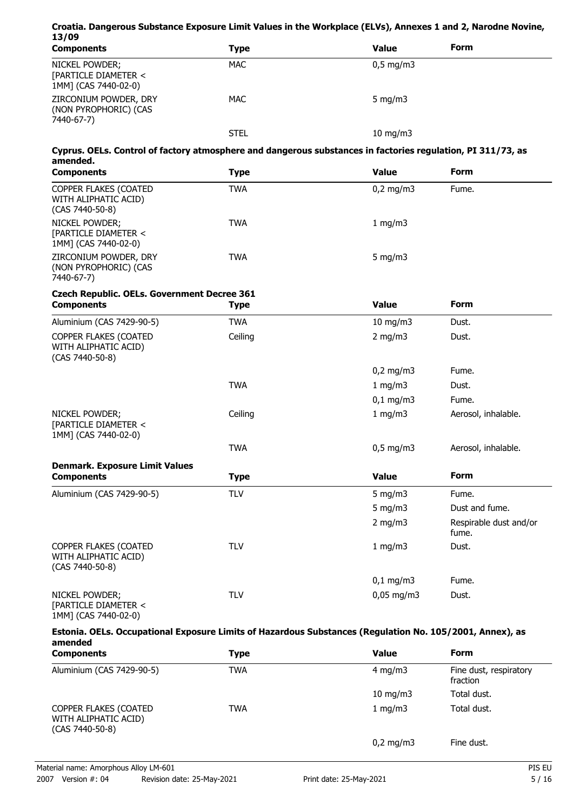### **Croatia. Dangerous Substance Exposure Limit Values in the Workplace (ELVs), Annexes 1 and 2, Narodne Novine, 13/09**

| <b>Components</b>                                              | <b>Type</b> | <b>Value</b>         | <b>Form</b> |
|----------------------------------------------------------------|-------------|----------------------|-------------|
| NICKEL POWDER;<br>[PARTICLE DIAMETER <<br>1MM] (CAS 7440-02-0) | <b>MAC</b>  | $0,5 \text{ mg/m}$ 3 |             |
| ZIRCONIUM POWDER, DRY<br>(NON PYROPHORIC) (CAS<br>7440-67-7)   | <b>MAC</b>  | 5 $mq/m3$            |             |
|                                                                | <b>STEL</b> | 10 mg/m $3$          |             |

### **Cyprus. OELs. Control of factory atmosphere and dangerous substances in factories regulation, PI 311/73, as amended.**

| <b>Components</b>                                                  | Type | <b>Value</b>       | <b>Form</b> |  |
|--------------------------------------------------------------------|------|--------------------|-------------|--|
| COPPER FLAKES (COATED<br>WITH ALIPHATIC ACID)<br>$(CAS 7440-50-8)$ | TWA  | $0,2 \text{ mg/m}$ | Fume.       |  |
| NICKEL POWDER;<br>[PARTICLE DIAMETER <<br>1MM] (CAS 7440-02-0)     | TWA  | 1 mg/m $3$         |             |  |
| ZIRCONIUM POWDER, DRY<br>(NON PYROPHORIC) (CAS<br>7440-67-7)       | TWA  | 5 $mq/m3$          |             |  |

## **Czech Republic. OELs. Government Decree 361**

| <b>Components</b>                                                | <b>Type</b> | <b>Value</b>  | <b>Form</b>                     |
|------------------------------------------------------------------|-------------|---------------|---------------------------------|
| Aluminium (CAS 7429-90-5)                                        | <b>TWA</b>  | $10$ mg/m $3$ | Dust.                           |
| COPPER FLAKES (COATED<br>WITH ALIPHATIC ACID)<br>(CAS 7440-50-8) | Ceiling     | $2$ mg/m $3$  | Dust.                           |
|                                                                  |             | $0,2$ mg/m3   | Fume.                           |
|                                                                  | <b>TWA</b>  | 1 mg/m3       | Dust.                           |
|                                                                  |             | $0,1$ mg/m3   | Fume.                           |
| NICKEL POWDER;<br>[PARTICLE DIAMETER <<br>1MM] (CAS 7440-02-0)   | Ceiling     | 1 mg/m $3$    | Aerosol, inhalable.             |
|                                                                  | <b>TWA</b>  | $0,5$ mg/m3   | Aerosol, inhalable.             |
| <b>Denmark. Exposure Limit Values</b><br><b>Components</b>       | <b>Type</b> | <b>Value</b>  | <b>Form</b>                     |
| Aluminium (CAS 7429-90-5)                                        | <b>TLV</b>  | 5 mg/m $3$    | Fume.                           |
|                                                                  |             | 5 mg/m $3$    | Dust and fume.                  |
|                                                                  |             | 2 mg/m $3$    | Respirable dust and/or<br>fume. |
| COPPER FLAKES (COATED<br>WITH ALIPHATIC ACID)<br>(CAS 7440-50-8) | <b>TLV</b>  | 1 mg/m3       | Dust.                           |
|                                                                  |             | $0,1$ mg/m3   | Fume.                           |
| NICKEL POWDER;<br>[PARTICLE DIAMETER <<br>1MM] (CAS 7440-02-0)   | <b>TLV</b>  | $0,05$ mg/m3  | Dust.                           |

#### **Estonia. OELs. Occupational Exposure Limits of Hazardous Substances (Regulation No. 105/2001, Annex), as amended**

| umuud<br><b>Components</b>                                         | Type       | Value             | <b>Form</b>                        |  |
|--------------------------------------------------------------------|------------|-------------------|------------------------------------|--|
| Aluminium (CAS 7429-90-5)                                          | <b>TWA</b> | 4 mg/m $3$        | Fine dust, respiratory<br>fraction |  |
|                                                                    |            | $10 \text{ mg/m}$ | Total dust.                        |  |
| COPPER FLAKES (COATED<br>WITH ALIPHATIC ACID)<br>$(CAS 7440-50-8)$ | <b>TWA</b> | 1 mg/m $3$        | Total dust.                        |  |
|                                                                    |            | $0,2$ mg/m3       | Fine dust.                         |  |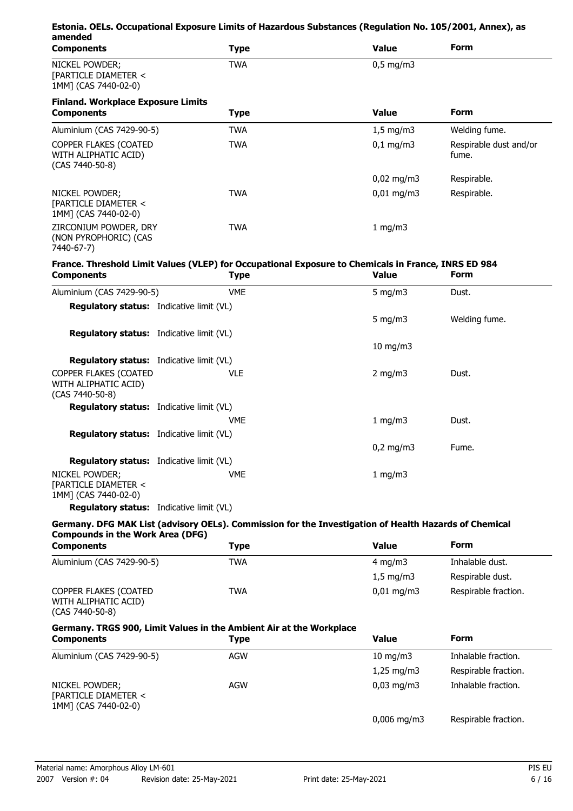| amended                                                          | Estonia. OELs. Occupational Exposure Limits of Hazardous Substances (Regulation No. 105/2001, Annex), as |                   |                                 |
|------------------------------------------------------------------|----------------------------------------------------------------------------------------------------------|-------------------|---------------------------------|
| <b>Components</b>                                                | <b>Type</b>                                                                                              | <b>Value</b>      | <b>Form</b>                     |
| NICKEL POWDER;<br>[PARTICLE DIAMETER <<br>1MM] (CAS 7440-02-0)   | <b>TWA</b>                                                                                               | $0,5$ mg/m3       |                                 |
| <b>Finland. Workplace Exposure Limits</b>                        |                                                                                                          |                   |                                 |
| <b>Components</b>                                                | <b>Type</b>                                                                                              | <b>Value</b>      | <b>Form</b>                     |
| Aluminium (CAS 7429-90-5)                                        | <b>TWA</b>                                                                                               | $1,5$ mg/m3       | Welding fume.                   |
| COPPER FLAKES (COATED<br>WITH ALIPHATIC ACID)<br>(CAS 7440-50-8) | <b>TWA</b>                                                                                               | $0,1$ mg/m3       | Respirable dust and/or<br>fume. |
|                                                                  |                                                                                                          | $0,02$ mg/m3      | Respirable.                     |
| NICKEL POWDER;<br>[PARTICLE DIAMETER <<br>1MM] (CAS 7440-02-0)   | <b>TWA</b>                                                                                               | $0,01$ mg/m3      | Respirable.                     |
| ZIRCONIUM POWDER, DRY<br>(NON PYROPHORIC) (CAS<br>7440-67-7)     | <b>TWA</b>                                                                                               | $1$ mg/m $3$      |                                 |
|                                                                  | France. Threshold Limit Values (VLEP) for Occupational Exposure to Chemicals in France, INRS ED 984      |                   |                                 |
| <b>Components</b>                                                | <b>Type</b>                                                                                              | <b>Value</b>      | Form                            |
| Aluminium (CAS 7429-90-5)                                        | <b>VME</b>                                                                                               | $5$ mg/m $3$      | Dust.                           |
| Regulatory status: Indicative limit (VL)                         |                                                                                                          |                   |                                 |
|                                                                  |                                                                                                          | $5$ mg/m $3$      | Welding fume.                   |
| Regulatory status: Indicative limit (VL)                         |                                                                                                          |                   |                                 |
|                                                                  |                                                                                                          | $10 \text{ mg/m}$ |                                 |
| Regulatory status: Indicative limit (VL)                         |                                                                                                          |                   |                                 |
| COPPER FLAKES (COATED<br>WITH ALIPHATIC ACID)<br>(CAS 7440-50-8) | <b>VLE</b>                                                                                               | $2$ mg/m $3$      | Dust.                           |
| <b>Regulatory status:</b> Indicative limit (VL)                  |                                                                                                          |                   |                                 |
|                                                                  | <b>VME</b>                                                                                               | $1$ mg/m $3$      | Dust.                           |
| <b>Regulatory status:</b> Indicative limit (VL)                  |                                                                                                          |                   |                                 |
|                                                                  |                                                                                                          | $0,2$ mg/m3       | Fume.                           |
| <b>Regulatory status:</b> Indicative limit (VL)                  |                                                                                                          |                   |                                 |
| NICKEL POWDER;<br>[PARTICLE DIAMETER <<br>1MM] (CAS 7440-02-0)   | <b>VME</b>                                                                                               | $1$ mg/m $3$      |                                 |

**Regulatory status:** Indicative limit (VL)

### **Germany. DFG MAK List (advisory OELs). Commission for the Investigation of Health Hazards of Chemical Compounds in the Work Area (DFG)**

| <b>Components</b>                                                         | <b>Type</b>                                                         | <b>Value</b>            | Form                 |
|---------------------------------------------------------------------------|---------------------------------------------------------------------|-------------------------|----------------------|
| Aluminium (CAS 7429-90-5)                                                 | <b>TWA</b>                                                          | $4 \text{ mg/m}$        | Inhalable dust.      |
|                                                                           |                                                                     | $1.5 \text{ mg/m}$      | Respirable dust.     |
| <b>COPPER FLAKES (COATED</b><br>WITH ALIPHATIC ACID)<br>$(CAS 7440-50-8)$ | <b>TWA</b>                                                          | $0,01 \,\mathrm{mg/m}$  | Respirable fraction. |
|                                                                           | Germany. TRGS 900, Limit Values in the Ambient Air at the Workplace |                         |                      |
|                                                                           |                                                                     |                         |                      |
| <b>Components</b>                                                         | <b>Type</b>                                                         | <b>Value</b>            | Form                 |
| Aluminium (CAS 7429-90-5)                                                 | <b>AGW</b>                                                          | $10 \text{ mg/m}$       | Inhalable fraction.  |
|                                                                           |                                                                     | $1,25 \,\mathrm{mq/m3}$ | Respirable fraction. |
| NICKEL POWDER;<br>[PARTICLE DIAMETER <<br>1MM] (CAS 7440-02-0)            | <b>AGW</b>                                                          | $0,03$ mg/m3            | Inhalable fraction.  |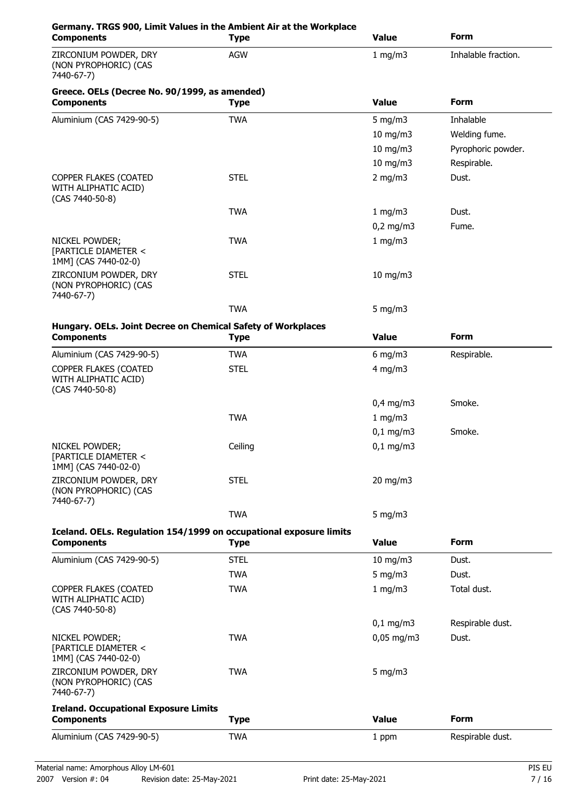| <b>Components</b>                                                  | Germany. TRGS 900, Limit Values in the Ambient Air at the Workplace<br><b>Type</b> | <b>Value</b>      | <b>Form</b>         |
|--------------------------------------------------------------------|------------------------------------------------------------------------------------|-------------------|---------------------|
| ZIRCONIUM POWDER, DRY<br>(NON PYROPHORIC) (CAS<br>7440-67-7)       | <b>AGW</b>                                                                         | 1 mg/m3           | Inhalable fraction. |
| Greece. OELs (Decree No. 90/1999, as amended)<br><b>Components</b> | <b>Type</b>                                                                        | <b>Value</b>      | <b>Form</b>         |
| Aluminium (CAS 7429-90-5)                                          | <b>TWA</b>                                                                         | 5 mg/m $3$        | Inhalable           |
|                                                                    |                                                                                    | 10 mg/m3          | Welding fume.       |
|                                                                    |                                                                                    | 10 mg/m3          | Pyrophoric powder.  |
|                                                                    |                                                                                    | 10 mg/m3          | Respirable.         |
| COPPER FLAKES (COATED<br>WITH ALIPHATIC ACID)<br>(CAS 7440-50-8)   | <b>STEL</b>                                                                        | $2$ mg/m $3$      | Dust.               |
|                                                                    | <b>TWA</b>                                                                         | 1 mg/m3           | Dust.               |
|                                                                    |                                                                                    | $0,2$ mg/m3       | Fume.               |
| NICKEL POWDER;<br>[PARTICLE DIAMETER <<br>1MM] (CAS 7440-02-0)     | <b>TWA</b>                                                                         | 1 mg/m3           |                     |
| ZIRCONIUM POWDER, DRY<br>(NON PYROPHORIC) (CAS<br>7440-67-7)       | <b>STEL</b>                                                                        | $10$ mg/m $3$     |                     |
|                                                                    | <b>TWA</b>                                                                         | 5 mg/m $3$        |                     |
| Hungary. OELs. Joint Decree on Chemical Safety of Workplaces       |                                                                                    |                   |                     |
| <b>Components</b>                                                  | <b>Type</b>                                                                        | <b>Value</b>      | <b>Form</b>         |
| Aluminium (CAS 7429-90-5)                                          | <b>TWA</b>                                                                         | $6$ mg/m $3$      | Respirable.         |
| COPPER FLAKES (COATED<br>WITH ALIPHATIC ACID)<br>(CAS 7440-50-8)   | <b>STEL</b>                                                                        | $4$ mg/m $3$      |                     |
|                                                                    |                                                                                    | $0,4$ mg/m3       | Smoke.              |
|                                                                    | <b>TWA</b>                                                                         | 1 mg/m3           |                     |
|                                                                    |                                                                                    | $0,1$ mg/m3       | Smoke.              |
| NICKEL POWDER;<br>[PARTICLE DIAMETER <<br>1MM] (CAS 7440-02-0)     | Ceiling                                                                            | $0,1$ mg/m3       |                     |
| ZIRCONIUM POWDER, DRY<br>(NON PYROPHORIC) (CAS<br>7440-67-7)       | <b>STEL</b>                                                                        | $20 \text{ mg/m}$ |                     |
|                                                                    | <b>TWA</b>                                                                         | $5 \text{ mg/m}$  |                     |
| <b>Components</b>                                                  | Iceland. OELs. Regulation 154/1999 on occupational exposure limits<br><b>Type</b>  | <b>Value</b>      | <b>Form</b>         |
| Aluminium (CAS 7429-90-5)                                          | <b>STEL</b>                                                                        | 10 mg/m3          | Dust.               |
|                                                                    | <b>TWA</b>                                                                         | 5 mg/m $3$        | Dust.               |
| COPPER FLAKES (COATED<br>WITH ALIPHATIC ACID)<br>(CAS 7440-50-8)   | <b>TWA</b>                                                                         | 1 mg/m3           | Total dust.         |
|                                                                    |                                                                                    | $0,1$ mg/m3       | Respirable dust.    |
| NICKEL POWDER;<br>[PARTICLE DIAMETER <<br>1MM] (CAS 7440-02-0)     | <b>TWA</b>                                                                         | $0,05$ mg/m3      | Dust.               |
| ZIRCONIUM POWDER, DRY<br>(NON PYROPHORIC) (CAS<br>7440-67-7)       | <b>TWA</b>                                                                         | 5 mg/m $3$        |                     |
| <b>Ireland. Occupational Exposure Limits</b><br><b>Components</b>  | <b>Type</b>                                                                        | <b>Value</b>      | <b>Form</b>         |
|                                                                    |                                                                                    |                   |                     |
| Aluminium (CAS 7429-90-5)                                          | <b>TWA</b>                                                                         | 1 ppm             | Respirable dust.    |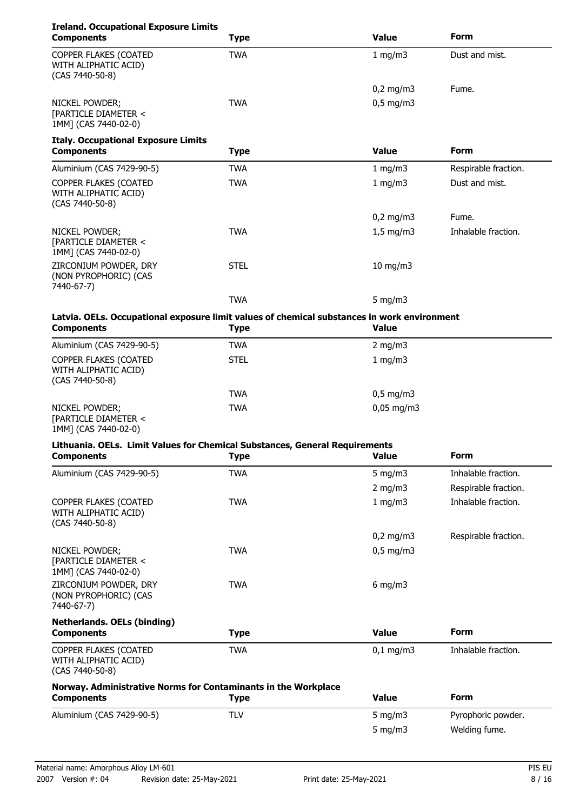| <b>Ireland. Occupational Exposure Limits</b><br><b>Components</b>                                                | <b>Type</b> | <b>Value</b> | <b>Form</b>          |  |
|------------------------------------------------------------------------------------------------------------------|-------------|--------------|----------------------|--|
| COPPER FLAKES (COATED<br>WITH ALIPHATIC ACID)<br>(CAS 7440-50-8)                                                 | <b>TWA</b>  | 1 mg/m3      | Dust and mist.       |  |
|                                                                                                                  |             | $0,2$ mg/m3  | Fume.                |  |
| NICKEL POWDER;<br>[PARTICLE DIAMETER <<br>1MM] (CAS 7440-02-0)                                                   | <b>TWA</b>  | $0,5$ mg/m3  |                      |  |
| <b>Italy. Occupational Exposure Limits</b><br><b>Components</b>                                                  | <b>Type</b> | <b>Value</b> | <b>Form</b>          |  |
| Aluminium (CAS 7429-90-5)                                                                                        | <b>TWA</b>  | 1 mg/m3      | Respirable fraction. |  |
| COPPER FLAKES (COATED<br>WITH ALIPHATIC ACID)<br>(CAS 7440-50-8)                                                 | <b>TWA</b>  | 1 mg/m3      | Dust and mist.       |  |
|                                                                                                                  |             | $0,2$ mg/m3  | Fume.                |  |
| NICKEL POWDER;<br>[PARTICLE DIAMETER <<br>1MM] (CAS 7440-02-0)                                                   | <b>TWA</b>  | $1,5$ mg/m3  | Inhalable fraction.  |  |
| ZIRCONIUM POWDER, DRY<br>(NON PYROPHORIC) (CAS<br>7440-67-7)                                                     | <b>STEL</b> | 10 mg/m3     |                      |  |
|                                                                                                                  | <b>TWA</b>  | 5 mg/m $3$   |                      |  |
| Latvia. OELs. Occupational exposure limit values of chemical substances in work environment<br><b>Components</b> | <b>Type</b> | <b>Value</b> |                      |  |
| Aluminium (CAS 7429-90-5)                                                                                        | <b>TWA</b>  | $2$ mg/m $3$ |                      |  |
| COPPER FLAKES (COATED<br>WITH ALIPHATIC ACID)<br>(CAS 7440-50-8)                                                 | <b>STEL</b> | 1 mg/m3      |                      |  |
|                                                                                                                  | <b>TWA</b>  | $0,5$ mg/m3  |                      |  |
| NICKEL POWDER;<br>[PARTICLE DIAMETER <<br>1MM] (CAS 7440-02-0)                                                   | <b>TWA</b>  | $0,05$ mg/m3 |                      |  |
| Lithuania. OELs. Limit Values for Chemical Substances, General Requirements<br><b>Components</b>                 | Type        | Value        | <b>Form</b>          |  |
| Aluminium (CAS 7429-90-5)                                                                                        | <b>TWA</b>  | 5 mg/m $3$   | Inhalable fraction.  |  |
|                                                                                                                  |             | $2$ mg/m $3$ | Respirable fraction. |  |
| COPPER FLAKES (COATED<br>WITH ALIPHATIC ACID)<br>(CAS 7440-50-8)                                                 | <b>TWA</b>  | $1$ mg/m $3$ | Inhalable fraction.  |  |
|                                                                                                                  |             | $0,2$ mg/m3  | Respirable fraction. |  |
| NICKEL POWDER;<br>[PARTICLE DIAMETER <<br>1MM] (CAS 7440-02-0)                                                   | <b>TWA</b>  | $0,5$ mg/m3  |                      |  |
| ZIRCONIUM POWDER, DRY<br>(NON PYROPHORIC) (CAS<br>7440-67-7)                                                     | <b>TWA</b>  | $6$ mg/m $3$ |                      |  |
| <b>Netherlands. OELs (binding)</b>                                                                               | <b>Type</b> | <b>Value</b> | <b>Form</b>          |  |
| <b>Components</b>                                                                                                |             |              |                      |  |
| COPPER FLAKES (COATED<br>WITH ALIPHATIC ACID)<br>(CAS 7440-50-8)                                                 | <b>TWA</b>  | $0,1$ mg/m3  | Inhalable fraction.  |  |
| Norway. Administrative Norms for Contaminants in the Workplace<br><b>Components</b>                              | <b>Type</b> | <b>Value</b> | <b>Form</b>          |  |
| Aluminium (CAS 7429-90-5)                                                                                        | <b>TLV</b>  | 5 mg/m $3$   | Pyrophoric powder.   |  |
|                                                                                                                  |             | $5$ mg/m $3$ | Welding fume.        |  |
|                                                                                                                  |             |              |                      |  |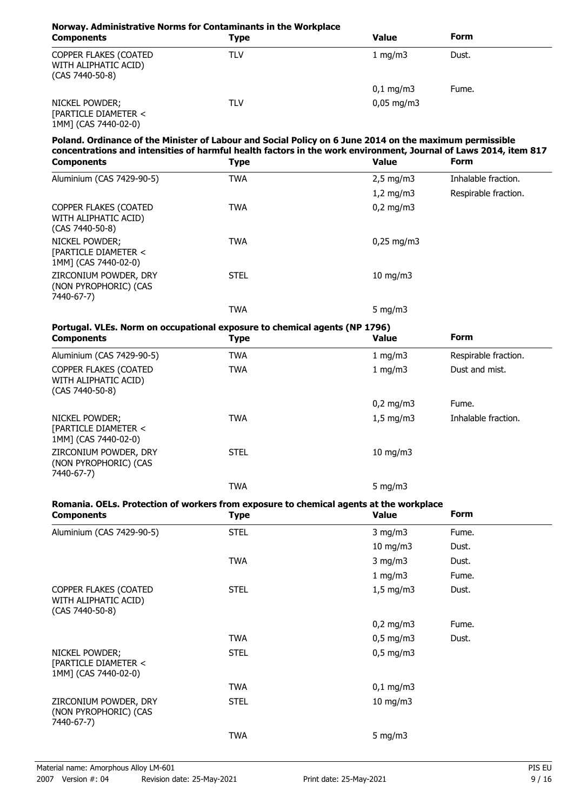### **Norway. Administrative Norms for Contaminants in the Workplace Components Components Components Components Form** COPPER FLAKES (COATED TLV TLV 1 mg/m3 Dust. WITH ALIPHATIC ACID) (CAS 7440-50-8) 0,1 mg/m3 Fume. NICKEL POWDER; TLV TLV 0,05 mg/m3 [PARTICLE DIAMETER <

1MM] (CAS 7440-02-0)

## **Poland. Ordinance of the Minister of Labour and Social Policy on 6 June 2014 on the maximum permissible concentrations and intensities of harmful health factors in the work environment, Journal of Laws 2014, item 817**

| <b>Components</b>                                                  | <b>Type</b> | <b>Value</b>        | <b>Form</b>          |
|--------------------------------------------------------------------|-------------|---------------------|----------------------|
| Aluminium (CAS 7429-90-5)                                          | <b>TWA</b>  | $2,5 \text{ mg/m}$  | Inhalable fraction.  |
|                                                                    |             | $1,2$ mg/m3         | Respirable fraction. |
| COPPER FLAKES (COATED<br>WITH ALIPHATIC ACID)<br>$(CAS 7440-50-8)$ | <b>TWA</b>  | $0,2 \text{ mg/m}$  |                      |
| NICKEL POWDER;<br>[PARTICLE DIAMETER <<br>1MM] (CAS 7440-02-0)     | <b>TWA</b>  | $0,25 \text{ mg/m}$ |                      |
| ZIRCONIUM POWDER, DRY<br>(NON PYROPHORIC) (CAS<br>7440-67-7)       | <b>STEL</b> | $10 \text{ mg/m}$   |                      |
|                                                                    | <b>TWA</b>  | 5 $mq/m3$           |                      |

|            | Portugal. VLEs. Norm on occupational exposure to chemical agents (NP 1796) |          |
|------------|----------------------------------------------------------------------------|----------|
| Componente | тыпо                                                                       | $V$ -luo |

| <b>Components</b>                                                        | <b>Type</b> | <b>Value</b>       | <b>Form</b>          |
|--------------------------------------------------------------------------|-------------|--------------------|----------------------|
| Aluminium (CAS 7429-90-5)                                                | <b>TWA</b>  | 1 mg/m $3$         | Respirable fraction. |
| <b>COPPER FLAKES (COATED)</b><br>WITH ALIPHATIC ACID)<br>(CAS 7440-50-8) | <b>TWA</b>  | 1 mg/m $3$         | Dust and mist.       |
|                                                                          |             | $0.2 \text{ mg/m}$ | Fume.                |
| NICKEL POWDER;<br>[PARTICLE DIAMETER <<br>1MM] (CAS 7440-02-0)           | <b>TWA</b>  | $1,5 \text{ mg/m}$ | Inhalable fraction.  |
| ZIRCONIUM POWDER, DRY<br>(NON PYROPHORIC) (CAS<br>7440-67-7)             | <b>STEL</b> | 10 mg/m $3$        |                      |
|                                                                          | <b>TWA</b>  | 5 $mq/m3$          |                      |

## **Romania. OELs. Protection of workers from exposure to chemical agents at the workplace**

| <b>Components</b>                                                | <b>Type</b> | <b>Value</b>  | Form  |  |
|------------------------------------------------------------------|-------------|---------------|-------|--|
| Aluminium (CAS 7429-90-5)                                        | <b>STEL</b> | $3$ mg/m $3$  | Fume. |  |
|                                                                  |             | $10$ mg/m $3$ | Dust. |  |
|                                                                  | <b>TWA</b>  | $3$ mg/m $3$  | Dust. |  |
|                                                                  |             | 1 mg/m3       | Fume. |  |
| COPPER FLAKES (COATED<br>WITH ALIPHATIC ACID)<br>(CAS 7440-50-8) | <b>STEL</b> | $1,5$ mg/m3   | Dust. |  |
|                                                                  |             | $0,2$ mg/m3   | Fume. |  |
|                                                                  | <b>TWA</b>  | $0,5$ mg/m3   | Dust. |  |
| NICKEL POWDER;<br>[PARTICLE DIAMETER <<br>1MM] (CAS 7440-02-0)   | <b>STEL</b> | $0,5$ mg/m3   |       |  |
|                                                                  | <b>TWA</b>  | $0,1$ mg/m3   |       |  |
| ZIRCONIUM POWDER, DRY<br>(NON PYROPHORIC) (CAS<br>7440-67-7)     | <b>STEL</b> | $10$ mg/m $3$ |       |  |
|                                                                  | <b>TWA</b>  | 5 mg/m3       |       |  |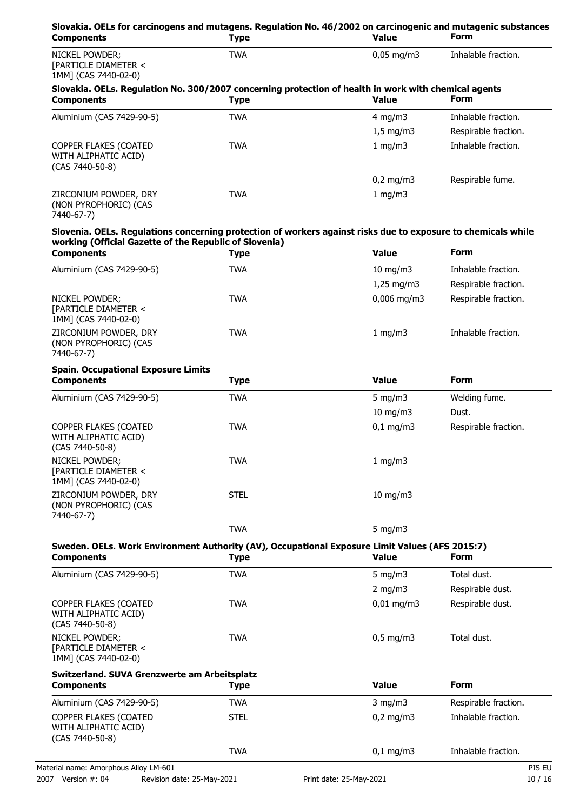| Slovakia. OELs for carcinogens and mutagens. Regulation No. 46/2002 on carcinogenic and mutagenic substances<br><b>Components</b>                                       | <b>Type</b> | <b>Value</b>       | Form                 |
|-------------------------------------------------------------------------------------------------------------------------------------------------------------------------|-------------|--------------------|----------------------|
| NICKEL POWDER;<br>[PARTICLE DIAMETER <<br>1MM] (CAS 7440-02-0)                                                                                                          | <b>TWA</b>  | $0,05$ mg/m3       | Inhalable fraction.  |
| Slovakia. OELs. Regulation No. 300/2007 concerning protection of health in work with chemical agents<br><b>Components</b>                                               | <b>Type</b> | <b>Value</b>       | <b>Form</b>          |
| Aluminium (CAS 7429-90-5)                                                                                                                                               | <b>TWA</b>  | $4$ mg/m $3$       | Inhalable fraction.  |
|                                                                                                                                                                         |             | $1,5$ mg/m3        | Respirable fraction. |
| COPPER FLAKES (COATED<br>WITH ALIPHATIC ACID)<br>(CAS 7440-50-8)                                                                                                        | <b>TWA</b>  | 1 mg/m3            | Inhalable fraction.  |
|                                                                                                                                                                         |             | $0,2 \text{ mg/m}$ | Respirable fume.     |
| ZIRCONIUM POWDER, DRY<br>(NON PYROPHORIC) (CAS<br>7440-67-7)                                                                                                            | <b>TWA</b>  | 1 mg/m3            |                      |
| Slovenia. OELs. Regulations concerning protection of workers against risks due to exposure to chemicals while<br>working (Official Gazette of the Republic of Slovenia) |             |                    |                      |
| <b>Components</b>                                                                                                                                                       | <b>Type</b> | <b>Value</b>       | <b>Form</b>          |
| Aluminium (CAS 7429-90-5)                                                                                                                                               | <b>TWA</b>  | $10$ mg/m $3$      | Inhalable fraction.  |
|                                                                                                                                                                         |             | $1,25$ mg/m3       | Respirable fraction. |
| NICKEL POWDER;<br>[PARTICLE DIAMETER <<br>1MM] (CAS 7440-02-0)                                                                                                          | <b>TWA</b>  | $0,006$ mg/m3      | Respirable fraction. |
| ZIRCONIUM POWDER, DRY<br>(NON PYROPHORIC) (CAS<br>7440-67-7)                                                                                                            | <b>TWA</b>  | 1 mg/m3            | Inhalable fraction.  |
| <b>Spain. Occupational Exposure Limits</b><br><b>Components</b>                                                                                                         | <b>Type</b> | <b>Value</b>       | <b>Form</b>          |
| Aluminium (CAS 7429-90-5)                                                                                                                                               | <b>TWA</b>  | 5 mg/m $3$         | Welding fume.        |
|                                                                                                                                                                         |             | 10 mg/m3           | Dust.                |
| COPPER FLAKES (COATED<br>WITH ALIPHATIC ACID)<br>(CAS 7440-50-8)                                                                                                        | <b>TWA</b>  | $0,1$ mg/m3        | Respirable fraction. |
| NICKEL POWDER;<br>[PARTICLE DIAMETER <<br>1MM] (CAS 7440-02-0)                                                                                                          | <b>TWA</b>  | 1 mg/m3            |                      |
| ZIRCONIUM POWDER, DRY<br>(NON PYROPHORIC) (CAS<br>7440-67-7)                                                                                                            | <b>STEL</b> | $10$ mg/m $3$      |                      |
|                                                                                                                                                                         | <b>TWA</b>  | 5 mg/m $3$         |                      |
| Sweden. OELs. Work Environment Authority (AV), Occupational Exposure Limit Values (AFS 2015:7)<br><b>Components</b>                                                     | <b>Type</b> | <b>Value</b>       | Form                 |
| Aluminium (CAS 7429-90-5)                                                                                                                                               | <b>TWA</b>  | 5 mg/m $3$         | Total dust.          |
|                                                                                                                                                                         |             | $2$ mg/m $3$       | Respirable dust.     |
| COPPER FLAKES (COATED<br>WITH ALIPHATIC ACID)<br>(CAS 7440-50-8)                                                                                                        | <b>TWA</b>  | $0,01$ mg/m3       | Respirable dust.     |
| NICKEL POWDER;<br>[PARTICLE DIAMETER <<br>1MM] (CAS 7440-02-0)                                                                                                          | <b>TWA</b>  | $0,5$ mg/m3        | Total dust.          |
| Switzerland. SUVA Grenzwerte am Arbeitsplatz<br><b>Components</b>                                                                                                       | <b>Type</b> | <b>Value</b>       | <b>Form</b>          |
| Aluminium (CAS 7429-90-5)                                                                                                                                               | <b>TWA</b>  | $3$ mg/m $3$       | Respirable fraction. |
| COPPER FLAKES (COATED<br>WITH ALIPHATIC ACID)<br>(CAS 7440-50-8)                                                                                                        | <b>STEL</b> | $0,2$ mg/m3        | Inhalable fraction.  |
|                                                                                                                                                                         | <b>TWA</b>  | $0,1$ mg/m3        | Inhalable fraction.  |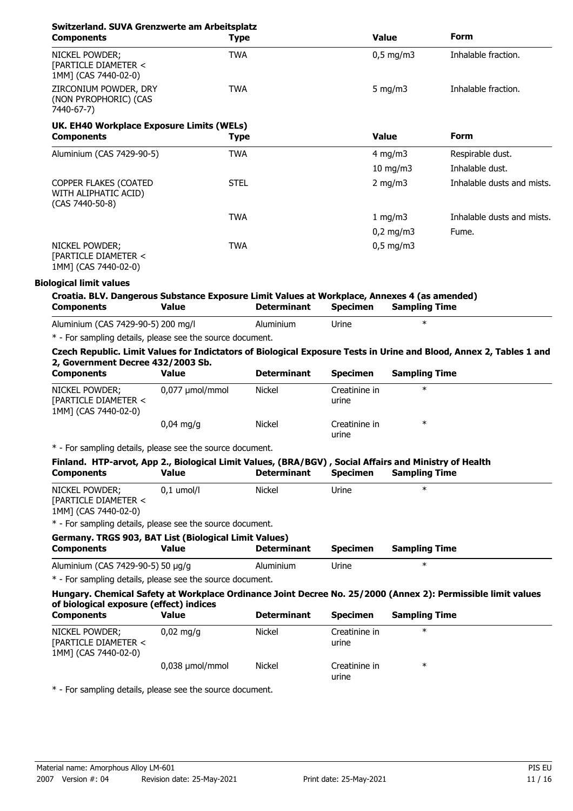| Switzerland. SUVA Grenzwerte am Arbeitsplatz<br><b>Components</b>                                                                                       | <b>Type</b>     |                    |                        | <b>Value</b>         | <b>Form</b>                                                                                                         |
|---------------------------------------------------------------------------------------------------------------------------------------------------------|-----------------|--------------------|------------------------|----------------------|---------------------------------------------------------------------------------------------------------------------|
| NICKEL POWDER;<br>[PARTICLE DIAMETER <<br>1MM] (CAS 7440-02-0)                                                                                          | <b>TWA</b>      |                    |                        | $0,5$ mg/m3          | Inhalable fraction.                                                                                                 |
| ZIRCONIUM POWDER, DRY<br>(NON PYROPHORIC) (CAS<br>7440-67-7)                                                                                            | TWA             |                    |                        | 5 mg/m $3$           | Inhalable fraction.                                                                                                 |
| UK. EH40 Workplace Exposure Limits (WELs)<br><b>Components</b>                                                                                          | <b>Type</b>     |                    |                        | <b>Value</b>         | <b>Form</b>                                                                                                         |
| Aluminium (CAS 7429-90-5)                                                                                                                               | <b>TWA</b>      |                    |                        | $4$ mg/m $3$         | Respirable dust.                                                                                                    |
|                                                                                                                                                         |                 |                    |                        | 10 mg/m3             | Inhalable dust.                                                                                                     |
| COPPER FLAKES (COATED<br>WITH ALIPHATIC ACID)<br>(CAS 7440-50-8)                                                                                        | <b>STEL</b>     |                    |                        | $2$ mg/m $3$         | Inhalable dusts and mists.                                                                                          |
|                                                                                                                                                         | <b>TWA</b>      |                    |                        | 1 mg/m3              | Inhalable dusts and mists.                                                                                          |
|                                                                                                                                                         |                 |                    |                        | $0,2$ mg/m $3$       | Fume.                                                                                                               |
| NICKEL POWDER;<br>[PARTICLE DIAMETER <<br>1MM] (CAS 7440-02-0)                                                                                          | <b>TWA</b>      |                    |                        | $0.5$ mg/m3          |                                                                                                                     |
| <b>Biological limit values</b>                                                                                                                          |                 |                    |                        |                      |                                                                                                                     |
| Croatia. BLV. Dangerous Substance Exposure Limit Values at Workplace, Annexes 4 (as amended)<br><b>Components</b>                                       | <b>Value</b>    | <b>Determinant</b> | <b>Specimen</b>        | <b>Sampling Time</b> |                                                                                                                     |
| Aluminium (CAS 7429-90-5) 200 mg/l                                                                                                                      |                 | Aluminium          | Urine                  | $\ast$               |                                                                                                                     |
| * - For sampling details, please see the source document.                                                                                               |                 |                    |                        |                      |                                                                                                                     |
| 2, Government Decree 432/2003 Sb.<br><b>Components</b>                                                                                                  | <b>Value</b>    | <b>Determinant</b> | <b>Specimen</b>        | <b>Sampling Time</b> | Czech Republic. Limit Values for Indictators of Biological Exposure Tests in Urine and Blood, Annex 2, Tables 1 and |
| NICKEL POWDER;<br>[PARTICLE DIAMETER <<br>1MM] (CAS 7440-02-0)                                                                                          | 0,077 µmol/mmol | Nickel             | Creatinine in<br>urine | $\ast$               |                                                                                                                     |
|                                                                                                                                                         | $0,04$ mg/g     | <b>Nickel</b>      | Creatinine in<br>urine | $\ast$               |                                                                                                                     |
| * - For sampling details, please see the source document.                                                                                               |                 |                    |                        |                      |                                                                                                                     |
| Finland. HTP-arvot, App 2., Biological Limit Values, (BRA/BGV), Social Affairs and Ministry of Health<br><b>Components</b>                              | <b>Value</b>    | <b>Determinant</b> | <b>Specimen</b>        | <b>Sampling Time</b> |                                                                                                                     |
| NICKEL POWDER;<br>[PARTICLE DIAMETER <<br>1MM] (CAS 7440-02-0)                                                                                          | $0,1$ umol/l    | <b>Nickel</b>      | Urine                  | $\ast$               |                                                                                                                     |
| * - For sampling details, please see the source document.                                                                                               |                 |                    |                        |                      |                                                                                                                     |
| Germany. TRGS 903, BAT List (Biological Limit Values)<br><b>Components</b>                                                                              | <b>Value</b>    | <b>Determinant</b> | <b>Specimen</b>        | <b>Sampling Time</b> |                                                                                                                     |
| Aluminium (CAS 7429-90-5) 50 µg/g                                                                                                                       |                 | Aluminium          | Urine                  | $\ast$               |                                                                                                                     |
| * - For sampling details, please see the source document.                                                                                               |                 |                    |                        |                      |                                                                                                                     |
| Hungary. Chemical Safety at Workplace Ordinance Joint Decree No. 25/2000 (Annex 2): Permissible limit values<br>of biological exposure (effect) indices |                 |                    |                        |                      |                                                                                                                     |
| <b>Components</b>                                                                                                                                       | <b>Value</b>    | <b>Determinant</b> | <b>Specimen</b>        | <b>Sampling Time</b> |                                                                                                                     |
| NICKEL POWDER;<br>[PARTICLE DIAMETER <<br>1MM] (CAS 7440-02-0)                                                                                          | $0,02$ mg/g     | Nickel             | Creatinine in<br>urine | $\ast$               |                                                                                                                     |
|                                                                                                                                                         | 0,038 µmol/mmol | Nickel             | Creatinine in<br>urine | $\ast$               |                                                                                                                     |

\* - For sampling details, please see the source document.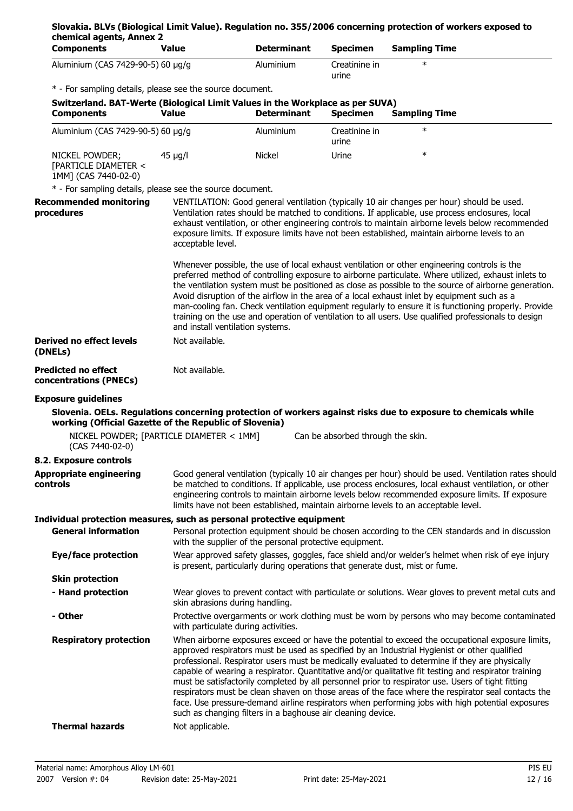| chemical agents, Annex 2<br><b>Components</b>                         | <b>Value</b>                                              | <b>Determinant</b>                                                                                  | <b>Specimen</b>                   | <b>Sampling Time</b>                                                                                                                                                                                                                                                                                                                                                                                                                                                                                                                                                                                                                                                                                                      |
|-----------------------------------------------------------------------|-----------------------------------------------------------|-----------------------------------------------------------------------------------------------------|-----------------------------------|---------------------------------------------------------------------------------------------------------------------------------------------------------------------------------------------------------------------------------------------------------------------------------------------------------------------------------------------------------------------------------------------------------------------------------------------------------------------------------------------------------------------------------------------------------------------------------------------------------------------------------------------------------------------------------------------------------------------------|
| Aluminium (CAS 7429-90-5) 60 µg/g                                     |                                                           | Aluminium                                                                                           | Creatinine in<br>urine            | $\ast$                                                                                                                                                                                                                                                                                                                                                                                                                                                                                                                                                                                                                                                                                                                    |
|                                                                       | * - For sampling details, please see the source document. |                                                                                                     |                                   |                                                                                                                                                                                                                                                                                                                                                                                                                                                                                                                                                                                                                                                                                                                           |
| <b>Components</b>                                                     | <b>Value</b>                                              | Switzerland. BAT-Werte (Biological Limit Values in the Workplace as per SUVA)<br><b>Determinant</b> | <b>Specimen</b>                   | <b>Sampling Time</b>                                                                                                                                                                                                                                                                                                                                                                                                                                                                                                                                                                                                                                                                                                      |
| Aluminium (CAS 7429-90-5) 60 µg/g                                     |                                                           | Aluminium                                                                                           | Creatinine in<br>urine            | $\ast$                                                                                                                                                                                                                                                                                                                                                                                                                                                                                                                                                                                                                                                                                                                    |
| NICKEL POWDER;<br>[PARTICLE DIAMETER <<br>1MM] (CAS 7440-02-0)        | $45 \mu g/l$                                              | Nickel                                                                                              | Urine                             | $\ast$                                                                                                                                                                                                                                                                                                                                                                                                                                                                                                                                                                                                                                                                                                                    |
|                                                                       | * - For sampling details, please see the source document. |                                                                                                     |                                   |                                                                                                                                                                                                                                                                                                                                                                                                                                                                                                                                                                                                                                                                                                                           |
| <b>Recommended monitoring</b><br>procedures                           | acceptable level.                                         |                                                                                                     |                                   | VENTILATION: Good general ventilation (typically 10 air changes per hour) should be used.<br>Ventilation rates should be matched to conditions. If applicable, use process enclosures, local<br>exhaust ventilation, or other engineering controls to maintain airborne levels below recommended<br>exposure limits. If exposure limits have not been established, maintain airborne levels to an                                                                                                                                                                                                                                                                                                                         |
|                                                                       |                                                           | and install ventilation systems.                                                                    |                                   | Whenever possible, the use of local exhaust ventilation or other engineering controls is the<br>preferred method of controlling exposure to airborne particulate. Where utilized, exhaust inlets to<br>the ventilation system must be positioned as close as possible to the source of airborne generation.<br>Avoid disruption of the airflow in the area of a local exhaust inlet by equipment such as a<br>man-cooling fan. Check ventilation equipment regularly to ensure it is functioning properly. Provide<br>training on the use and operation of ventilation to all users. Use qualified professionals to design                                                                                                |
| <b>Derived no effect levels</b><br>(DNELs)                            | Not available.                                            |                                                                                                     |                                   |                                                                                                                                                                                                                                                                                                                                                                                                                                                                                                                                                                                                                                                                                                                           |
| <b>Predicted no effect</b><br>concentrations (PNECs)                  | Not available.                                            |                                                                                                     |                                   |                                                                                                                                                                                                                                                                                                                                                                                                                                                                                                                                                                                                                                                                                                                           |
| <b>Exposure guidelines</b>                                            |                                                           |                                                                                                     |                                   |                                                                                                                                                                                                                                                                                                                                                                                                                                                                                                                                                                                                                                                                                                                           |
|                                                                       | working (Official Gazette of the Republic of Slovenia)    |                                                                                                     |                                   | Slovenia. OELs. Regulations concerning protection of workers against risks due to exposure to chemicals while                                                                                                                                                                                                                                                                                                                                                                                                                                                                                                                                                                                                             |
| (CAS 7440-02-0)                                                       | NICKEL POWDER; [PARTICLE DIAMETER < 1MM]                  |                                                                                                     | Can be absorbed through the skin. |                                                                                                                                                                                                                                                                                                                                                                                                                                                                                                                                                                                                                                                                                                                           |
| 8.2. Exposure controls                                                |                                                           |                                                                                                     |                                   |                                                                                                                                                                                                                                                                                                                                                                                                                                                                                                                                                                                                                                                                                                                           |
| <b>Appropriate engineering</b><br>controls                            |                                                           |                                                                                                     |                                   | Good general ventilation (typically 10 air changes per hour) should be used. Ventilation rates should<br>be matched to conditions. If applicable, use process enclosures, local exhaust ventilation, or other<br>engineering controls to maintain airborne levels below recommended exposure limits. If exposure<br>limits have not been established, maintain airborne levels to an acceptable level.                                                                                                                                                                                                                                                                                                                    |
| Individual protection measures, such as personal protective equipment |                                                           |                                                                                                     |                                   |                                                                                                                                                                                                                                                                                                                                                                                                                                                                                                                                                                                                                                                                                                                           |
| <b>General information</b>                                            |                                                           | with the supplier of the personal protective equipment.                                             |                                   | Personal protection equipment should be chosen according to the CEN standards and in discussion                                                                                                                                                                                                                                                                                                                                                                                                                                                                                                                                                                                                                           |
| <b>Eye/face protection</b>                                            |                                                           | is present, particularly during operations that generate dust, mist or fume.                        |                                   | Wear approved safety glasses, goggles, face shield and/or welder's helmet when risk of eye injury                                                                                                                                                                                                                                                                                                                                                                                                                                                                                                                                                                                                                         |
| <b>Skin protection</b>                                                |                                                           |                                                                                                     |                                   |                                                                                                                                                                                                                                                                                                                                                                                                                                                                                                                                                                                                                                                                                                                           |
| - Hand protection                                                     |                                                           | skin abrasions during handling.                                                                     |                                   | Wear gloves to prevent contact with particulate or solutions. Wear gloves to prevent metal cuts and                                                                                                                                                                                                                                                                                                                                                                                                                                                                                                                                                                                                                       |
| - Other                                                               |                                                           | with particulate during activities.                                                                 |                                   | Protective overgarments or work clothing must be worn by persons who may become contaminated                                                                                                                                                                                                                                                                                                                                                                                                                                                                                                                                                                                                                              |
| <b>Respiratory protection</b>                                         |                                                           | such as changing filters in a baghouse air cleaning device.                                         |                                   | When airborne exposures exceed or have the potential to exceed the occupational exposure limits,<br>approved respirators must be used as specified by an Industrial Hygienist or other qualified<br>professional. Respirator users must be medically evaluated to determine if they are physically<br>capable of wearing a respirator. Quantitative and/or qualitative fit testing and respirator training<br>must be satisfactorily completed by all personnel prior to respirator use. Users of tight fitting<br>respirators must be clean shaven on those areas of the face where the respirator seal contacts the<br>face. Use pressure-demand airline respirators when performing jobs with high potential exposures |
| <b>Thermal hazards</b>                                                | Not applicable.                                           |                                                                                                     |                                   |                                                                                                                                                                                                                                                                                                                                                                                                                                                                                                                                                                                                                                                                                                                           |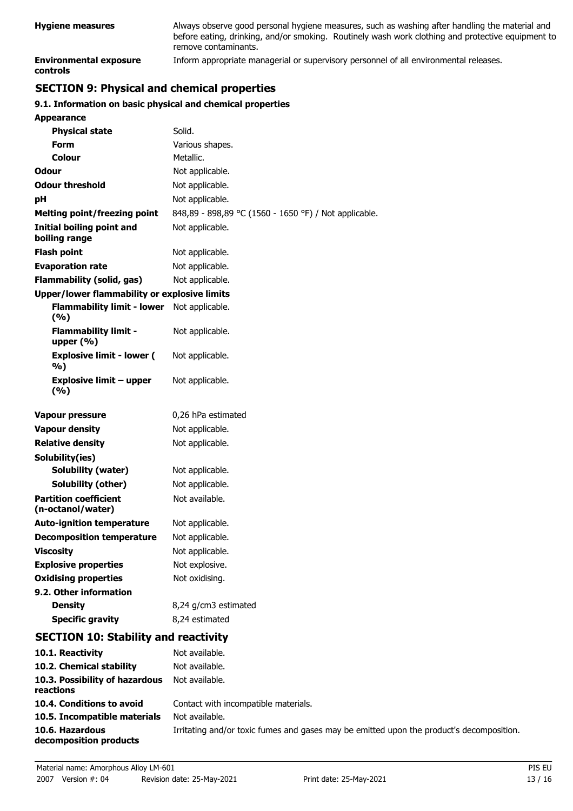| <b>Hygiene measures</b>                   | Always observe good personal hygiene measures, such as washing after handling the material and<br>before eating, drinking, and/or smoking. Routinely wash work clothing and protective equipment to<br>remove contaminants. |
|-------------------------------------------|-----------------------------------------------------------------------------------------------------------------------------------------------------------------------------------------------------------------------------|
| <b>Environmental exposure</b><br>controls | Inform appropriate managerial or supervisory personnel of all environmental releases.                                                                                                                                       |

## **SECTION 9: Physical and chemical properties**

## **9.1. Information on basic physical and chemical properties**

| <b>Appearance</b>                                 |                                                                                          |
|---------------------------------------------------|------------------------------------------------------------------------------------------|
| <b>Physical state</b>                             | Solid.                                                                                   |
| <b>Form</b>                                       | Various shapes.                                                                          |
| Colour                                            | Metallic.                                                                                |
| Odour                                             | Not applicable.                                                                          |
| <b>Odour threshold</b>                            | Not applicable.                                                                          |
| pH                                                | Not applicable.                                                                          |
| <b>Melting point/freezing point</b>               | 848,89 - 898,89 °C (1560 - 1650 °F) / Not applicable.                                    |
| <b>Initial boiling point and</b><br>boiling range | Not applicable.                                                                          |
| <b>Flash point</b>                                | Not applicable.                                                                          |
| <b>Evaporation rate</b>                           | Not applicable.                                                                          |
| <b>Flammability (solid, gas)</b>                  | Not applicable.                                                                          |
| Upper/lower flammability or explosive limits      |                                                                                          |
| <b>Flammability limit - lower</b><br>(%)          | Not applicable.                                                                          |
| <b>Flammability limit -</b><br>upper $(\% )$      | Not applicable.                                                                          |
| <b>Explosive limit - lower (</b><br>%)            | Not applicable.                                                                          |
| <b>Explosive limit - upper</b><br>(9/6)           | Not applicable.                                                                          |
| Vapour pressure                                   | 0,26 hPa estimated                                                                       |
| <b>Vapour density</b>                             | Not applicable.                                                                          |
| <b>Relative density</b>                           | Not applicable.                                                                          |
| Solubility(ies)                                   |                                                                                          |
| Solubility (water)                                | Not applicable.                                                                          |
| Solubility (other)                                | Not applicable.                                                                          |
| <b>Partition coefficient</b><br>(n-octanol/water) | Not available.                                                                           |
| <b>Auto-ignition temperature</b>                  | Not applicable.                                                                          |
| <b>Decomposition temperature</b>                  | Not applicable.                                                                          |
| <b>Viscosity</b>                                  | Not applicable.                                                                          |
| <b>Explosive properties</b>                       | Not explosive.                                                                           |
| <b>Oxidising properties</b>                       | Not oxidising.                                                                           |
| 9.2. Other information                            |                                                                                          |
| <b>Density</b>                                    | 8,24 g/cm3 estimated                                                                     |
| <b>Specific gravity</b>                           | 8,24 estimated                                                                           |
| <b>SECTION 10: Stability and reactivity</b>       |                                                                                          |
| 10.1. Reactivity                                  | Not available.                                                                           |
| 10.2. Chemical stability                          | Not available.                                                                           |
| 10.3. Possibility of hazardous<br>reactions       | Not available.                                                                           |
| 10.4. Conditions to avoid                         | Contact with incompatible materials.                                                     |
| 10.5. Incompatible materials                      | Not available.                                                                           |
| 10.6. Hazardous<br>decomposition products         | Irritating and/or toxic fumes and gases may be emitted upon the product's decomposition. |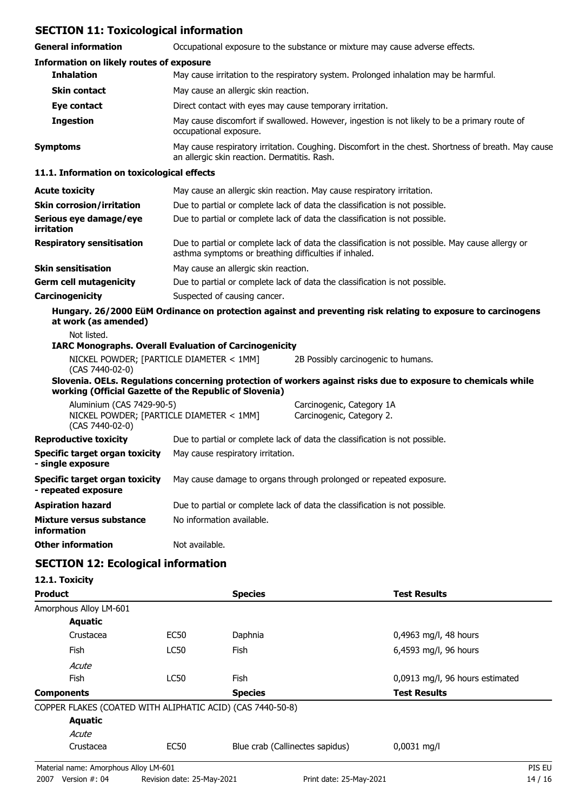## **SECTION 11: Toxicological information**

| SECTION II. TOXICOlOGICAL IIIIOHIIAGUUI                               |                                                                                                                                                           |                                                                                                               |  |
|-----------------------------------------------------------------------|-----------------------------------------------------------------------------------------------------------------------------------------------------------|---------------------------------------------------------------------------------------------------------------|--|
| <b>General information</b>                                            | Occupational exposure to the substance or mixture may cause adverse effects.                                                                              |                                                                                                               |  |
| <b>Information on likely routes of exposure</b>                       |                                                                                                                                                           |                                                                                                               |  |
| <b>Inhalation</b>                                                     |                                                                                                                                                           | May cause irritation to the respiratory system. Prolonged inhalation may be harmful.                          |  |
| <b>Skin contact</b>                                                   | May cause an allergic skin reaction.                                                                                                                      |                                                                                                               |  |
| Eye contact                                                           | Direct contact with eyes may cause temporary irritation.                                                                                                  |                                                                                                               |  |
| <b>Ingestion</b>                                                      | May cause discomfort if swallowed. However, ingestion is not likely to be a primary route of<br>occupational exposure.                                    |                                                                                                               |  |
| <b>Symptoms</b>                                                       | May cause respiratory irritation. Coughing. Discomfort in the chest. Shortness of breath. May cause<br>an allergic skin reaction. Dermatitis. Rash.       |                                                                                                               |  |
| 11.1. Information on toxicological effects                            |                                                                                                                                                           |                                                                                                               |  |
| <b>Acute toxicity</b>                                                 |                                                                                                                                                           | May cause an allergic skin reaction. May cause respiratory irritation.                                        |  |
| <b>Skin corrosion/irritation</b>                                      |                                                                                                                                                           | Due to partial or complete lack of data the classification is not possible.                                   |  |
| Serious eye damage/eye<br>irritation                                  |                                                                                                                                                           | Due to partial or complete lack of data the classification is not possible.                                   |  |
| <b>Respiratory sensitisation</b>                                      | Due to partial or complete lack of data the classification is not possible. May cause allergy or<br>asthma symptoms or breathing difficulties if inhaled. |                                                                                                               |  |
| <b>Skin sensitisation</b>                                             | May cause an allergic skin reaction.                                                                                                                      |                                                                                                               |  |
| <b>Germ cell mutagenicity</b>                                         | Due to partial or complete lack of data the classification is not possible.                                                                               |                                                                                                               |  |
| Carcinogenicity                                                       | Suspected of causing cancer.                                                                                                                              |                                                                                                               |  |
| at work (as amended)                                                  |                                                                                                                                                           | Hungary. 26/2000 EüM Ordinance on protection against and preventing risk relating to exposure to carcinogens  |  |
| Not listed.                                                           |                                                                                                                                                           |                                                                                                               |  |
| <b>IARC Monographs. Overall Evaluation of Carcinogenicity</b>         |                                                                                                                                                           |                                                                                                               |  |
| NICKEL POWDER; [PARTICLE DIAMETER < 1MM]<br>(CAS 7440-02-0)           |                                                                                                                                                           | 2B Possibly carcinogenic to humans.                                                                           |  |
| working (Official Gazette of the Republic of Slovenia)                |                                                                                                                                                           | Slovenia. OELs. Regulations concerning protection of workers against risks due to exposure to chemicals while |  |
| Aluminium (CAS 7429-90-5)<br>NICKEL POWDER; [PARTICLE DIAMETER < 1MM] |                                                                                                                                                           | Carcinogenic, Category 1A<br>Carcinogenic, Category 2.                                                        |  |
| (CAS 7440-02-0)<br><b>Reproductive toxicity</b>                       |                                                                                                                                                           | Due to partial or complete lack of data the classification is not possible.                                   |  |
| <b>Specific target organ toxicity</b>                                 | May cause respiratory irritation.                                                                                                                         |                                                                                                               |  |
| single exposure                                                       |                                                                                                                                                           |                                                                                                               |  |
| <b>Specific target organ toxicity</b><br>- repeated exposure          |                                                                                                                                                           | May cause damage to organs through prolonged or repeated exposure.                                            |  |
| <b>Aspiration hazard</b>                                              |                                                                                                                                                           | Due to partial or complete lack of data the classification is not possible.                                   |  |
| <b>Mixture versus substance</b><br>information                        | No information available.                                                                                                                                 |                                                                                                               |  |
| <b>Other information</b>                                              | Not available.                                                                                                                                            |                                                                                                               |  |

## **SECTION 12: Ecological information**

## **12.1. Toxicity**

| <b>Product</b>                                             |             | <b>Species</b>                  | <b>Test Results</b>             |
|------------------------------------------------------------|-------------|---------------------------------|---------------------------------|
| Amorphous Alloy LM-601                                     |             |                                 |                                 |
| <b>Aquatic</b>                                             |             |                                 |                                 |
| Crustacea                                                  | EC50        | Daphnia                         | $0,4963$ mg/l, 48 hours         |
| <b>Fish</b>                                                | <b>LC50</b> | <b>Fish</b>                     | 6,4593 mg/l, 96 hours           |
| Acute                                                      |             |                                 |                                 |
| <b>Fish</b>                                                | <b>LC50</b> | <b>Fish</b>                     | 0,0913 mg/l, 96 hours estimated |
| <b>Components</b>                                          |             | <b>Species</b>                  | <b>Test Results</b>             |
| COPPER FLAKES (COATED WITH ALIPHATIC ACID) (CAS 7440-50-8) |             |                                 |                                 |
| <b>Aquatic</b>                                             |             |                                 |                                 |
| Acute                                                      |             |                                 |                                 |
| Crustacea                                                  | <b>EC50</b> | Blue crab (Callinectes sapidus) | $0,0031$ mg/l                   |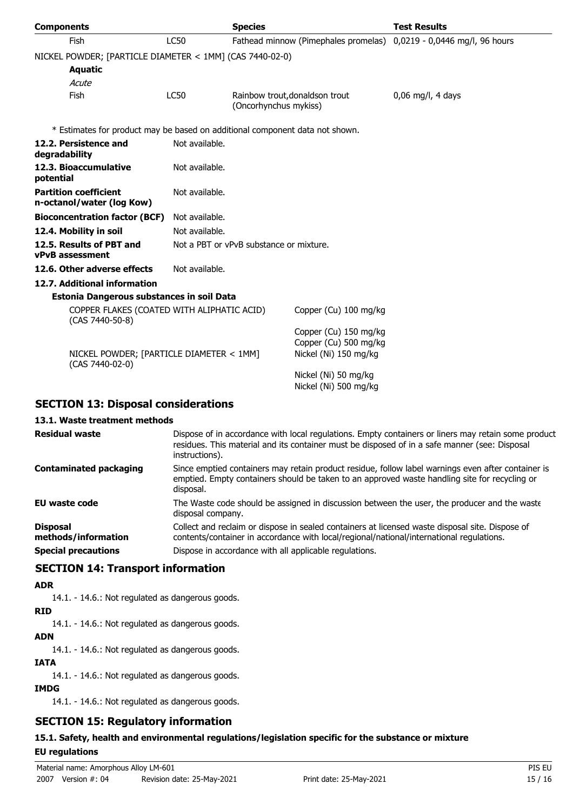| <b>Components</b>                                                            |                                                          | <b>Species</b>                                          |                                                                         | <b>Test Results</b>            |  |
|------------------------------------------------------------------------------|----------------------------------------------------------|---------------------------------------------------------|-------------------------------------------------------------------------|--------------------------------|--|
| <b>Fish</b>                                                                  | <b>LC50</b>                                              |                                                         | Fathead minnow (Pimephales promelas)                                    | 0,0219 - 0,0446 mg/l, 96 hours |  |
|                                                                              | NICKEL POWDER; [PARTICLE DIAMETER < 1MM] (CAS 7440-02-0) |                                                         |                                                                         |                                |  |
| <b>Aquatic</b>                                                               |                                                          |                                                         |                                                                         |                                |  |
| Acute                                                                        |                                                          |                                                         |                                                                         |                                |  |
| Fish                                                                         | <b>LC50</b>                                              | Rainbow trout, donaldson trout<br>(Oncorhynchus mykiss) |                                                                         | $0.06$ mg/l, 4 days            |  |
| * Estimates for product may be based on additional component data not shown. |                                                          |                                                         |                                                                         |                                |  |
| 12.2. Persistence and<br>degradability                                       | Not available.                                           |                                                         |                                                                         |                                |  |
| 12.3. Bioaccumulative<br>potential                                           | Not available.                                           |                                                         |                                                                         |                                |  |
| <b>Partition coefficient</b><br>n-octanol/water (log Kow)                    | Not available.                                           |                                                         |                                                                         |                                |  |
| <b>Bioconcentration factor (BCF)</b>                                         | Not available.                                           |                                                         |                                                                         |                                |  |
| 12.4. Mobility in soil                                                       | Not available.                                           |                                                         |                                                                         |                                |  |
| 12.5. Results of PBT and<br><b>vPvB</b> assessment                           |                                                          | Not a PBT or vPvB substance or mixture.                 |                                                                         |                                |  |
| 12.6. Other adverse effects                                                  | Not available.                                           |                                                         |                                                                         |                                |  |
| 12.7. Additional information                                                 |                                                          |                                                         |                                                                         |                                |  |
| Estonia Dangerous substances in soil Data                                    |                                                          |                                                         |                                                                         |                                |  |
| COPPER FLAKES (COATED WITH ALIPHATIC ACID)<br>(CAS 7440-50-8)                |                                                          |                                                         | Copper (Cu) 100 mg/kg                                                   |                                |  |
| NICKEL POWDER; [PARTICLE DIAMETER < 1MM]<br>(CAS 7440-02-0)                  |                                                          |                                                         | Copper (Cu) 150 mg/kg<br>Copper (Cu) 500 mg/kg<br>Nickel (Ni) 150 mg/kg |                                |  |
|                                                                              |                                                          |                                                         | Nickel (Ni) 50 mg/kg<br>Nickel (Ni) 500 mg/kg                           |                                |  |
| <b>SECTION 13: Disposal considerations</b>                                   |                                                          |                                                         |                                                                         |                                |  |

## **13.1. Waste treatment methods**

| <b>Residual waste</b>                  | Dispose of in accordance with local regulations. Empty containers or liners may retain some product<br>residues. This material and its container must be disposed of in a safe manner (see: Disposal<br>instructions). |
|----------------------------------------|------------------------------------------------------------------------------------------------------------------------------------------------------------------------------------------------------------------------|
| <b>Contaminated packaging</b>          | Since emptied containers may retain product residue, follow label warnings even after container is<br>emptied. Empty containers should be taken to an approved waste handling site for recycling or<br>disposal.       |
| <b>EU waste code</b>                   | The Waste code should be assigned in discussion between the user, the producer and the waste<br>disposal company.                                                                                                      |
| <b>Disposal</b><br>methods/information | Collect and reclaim or dispose in sealed containers at licensed waste disposal site. Dispose of<br>contents/container in accordance with local/regional/national/international regulations.                            |
| <b>Special precautions</b>             | Dispose in accordance with all applicable regulations.                                                                                                                                                                 |

## **SECTION 14: Transport information**

### **ADR**

14.1. - 14.6.: Not regulated as dangerous goods.

### **RID**

14.1. - 14.6.: Not regulated as dangerous goods.

### **ADN**

14.1. - 14.6.: Not regulated as dangerous goods.

#### **IATA**

14.1. - 14.6.: Not regulated as dangerous goods.

## **IMDG**

14.1. - 14.6.: Not regulated as dangerous goods.

## **SECTION 15: Regulatory information**

## **15.1. Safety, health and environmental regulations/legislation specific for the substance or mixture**

## **EU regulations**